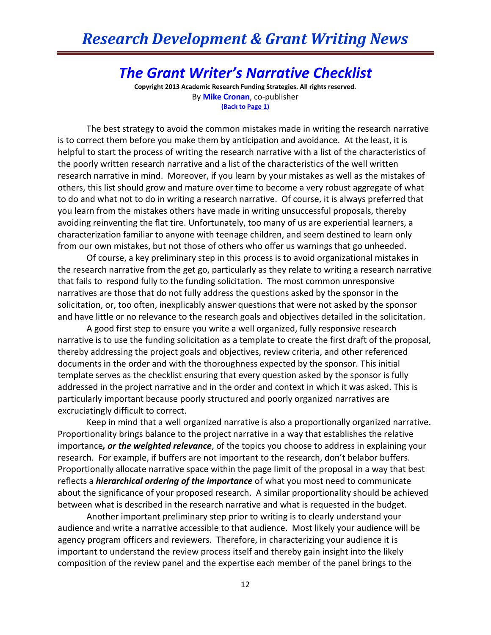## *The Grant Writer's Narrative Checklist*

**Copyright 2013 Academic Research Funding Strategies. All rights reserved.** By **[Mike Cronan](mailto:mjcronan@gmail.com)**, co-publisher **(Back to Page 1)**

The best strategy to avoid the common mistakes made in writing the research narrative is to correct them before you make them by anticipation and avoidance. At the least, it is helpful to start the process of writing the research narrative with a list of the characteristics of the poorly written research narrative and a list of the characteristics of the well written research narrative in mind. Moreover, if you learn by your mistakes as well as the mistakes of others, this list should grow and mature over time to become a very robust aggregate of what to do and what not to do in writing a research narrative. Of course, it is always preferred that you learn from the mistakes others have made in writing unsuccessful proposals, thereby avoiding reinventing the flat tire. Unfortunately, too many of us are experiential learners, a characterization familiar to anyone with teenage children, and seem destined to learn only from our own mistakes, but not those of others who offer us warnings that go unheeded.

Of course, a key preliminary step in this process is to avoid organizational mistakes in the research narrative from the get go, particularly as they relate to writing a research narrative that fails to respond fully to the funding solicitation. The most common unresponsive narratives are those that do not fully address the questions asked by the sponsor in the solicitation, or, too often, inexplicably answer questions that were not asked by the sponsor and have little or no relevance to the research goals and objectives detailed in the solicitation.

A good first step to ensure you write a well organized, fully responsive research narrative is to use the funding solicitation as a template to create the first draft of the proposal, thereby addressing the project goals and objectives, review criteria, and other referenced documents in the order and with the thoroughness expected by the sponsor. This initial template serves as the checklist ensuring that every question asked by the sponsor is fully addressed in the project narrative and in the order and context in which it was asked. This is particularly important because poorly structured and poorly organized narratives are excruciatingly difficult to correct.

Keep in mind that a well organized narrative is also a proportionally organized narrative. Proportionality brings balance to the project narrative in a way that establishes the relative importance*, or the weighted relevance*, of the topics you choose to address in explaining your research. For example, if buffers are not important to the research, don't belabor buffers. Proportionally allocate narrative space within the page limit of the proposal in a way that best reflects a *hierarchical ordering of the importance* of what you most need to communicate about the significance of your proposed research. A similar proportionality should be achieved between what is described in the research narrative and what is requested in the budget.

Another important preliminary step prior to writing is to clearly understand your audience and write a narrative accessible to that audience. Most likely your audience will be agency program officers and reviewers. Therefore, in characterizing your audience it is important to understand the review process itself and thereby gain insight into the likely composition of the review panel and the expertise each member of the panel brings to the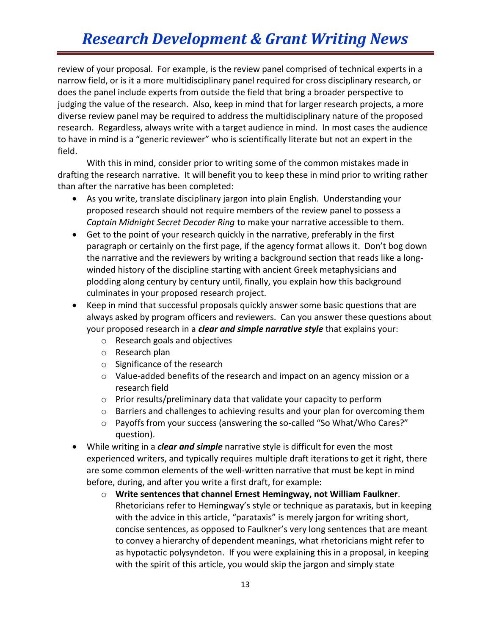## *Research Development & Grant Writing News*

review of your proposal. For example, is the review panel comprised of technical experts in a narrow field, or is it a more multidisciplinary panel required for cross disciplinary research, or does the panel include experts from outside the field that bring a broader perspective to judging the value of the research. Also, keep in mind that for larger research projects, a more diverse review panel may be required to address the multidisciplinary nature of the proposed research. Regardless, always write with a target audience in mind. In most cases the audience to have in mind is a "generic reviewer" who is scientifically literate but not an expert in the field.

With this in mind, consider prior to writing some of the common mistakes made in drafting the research narrative. It will benefit you to keep these in mind prior to writing rather than after the narrative has been completed:

- As you write, translate disciplinary jargon into plain English. Understanding your proposed research should not require members of the review panel to possess a *Captain Midnight Secret Decoder Ring* to make your narrative accessible to them.
- Get to the point of your research quickly in the narrative, preferably in the first paragraph or certainly on the first page, if the agency format allows it. Don't bog down the narrative and the reviewers by writing a background section that reads like a longwinded history of the discipline starting with ancient Greek metaphysicians and plodding along century by century until, finally, you explain how this background culminates in your proposed research project.
- Keep in mind that successful proposals quickly answer some basic questions that are always asked by program officers and reviewers. Can you answer these questions about your proposed research in a *clear and simple narrative style* that explains your:
	- o Research goals and objectives
	- o Research plan
	- o Significance of the research
	- $\circ$  Value-added benefits of the research and impact on an agency mission or a research field
	- o Prior results/preliminary data that validate your capacity to perform
	- $\circ$  Barriers and challenges to achieving results and your plan for overcoming them
	- o Payoffs from your success (answering the so-called "So What/Who Cares?" question).
- While writing in a *clear and simple* narrative style is difficult for even the most experienced writers, and typically requires multiple draft iterations to get it right, there are some common elements of the well-written narrative that must be kept in mind before, during, and after you write a first draft, for example:
	- o **Write sentences that channel Ernest Hemingway, not William Faulkner**. Rhetoricians refer to Hemingway's style or technique as parataxis, but in keeping with the advice in this article, "parataxis" is merely jargon for writing short, concise sentences, as opposed to Faulkner's very long sentences that are meant to convey a hierarchy of dependent meanings, what rhetoricians might refer to as hypotactic polysyndeton. If you were explaining this in a proposal, in keeping with the spirit of this article, you would skip the jargon and simply state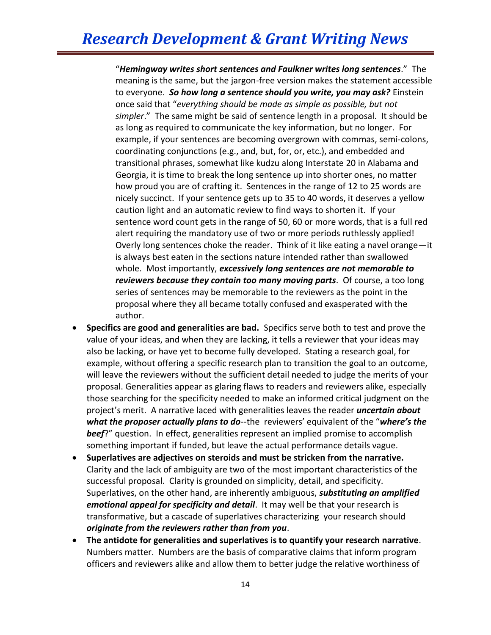"*Hemingway writes short sentences and Faulkner writes long sentences*." The meaning is the same, but the jargon-free version makes the statement accessible to everyone. *So how long a sentence should you write, you may ask?* Einstein once said that "*everything should be made as simple as possible, but not simpler*." The same might be said of sentence length in a proposal. It should be as long as required to communicate the key information, but no longer. For example, if your sentences are becoming overgrown with commas, semi-colons, coordinating conjunctions (e.g., and, but, for, or, etc.), and embedded and transitional phrases, somewhat like kudzu along Interstate 20 in Alabama and Georgia, it is time to break the long sentence up into shorter ones, no matter how proud you are of crafting it. Sentences in the range of 12 to 25 words are nicely succinct. If your sentence gets up to 35 to 40 words, it deserves a yellow caution light and an automatic review to find ways to shorten it. If your sentence word count gets in the range of 50, 60 or more words, that is a full red alert requiring the mandatory use of two or more periods ruthlessly applied! Overly long sentences choke the reader. Think of it like eating a navel orange—it is always best eaten in the sections nature intended rather than swallowed whole. Most importantly, *excessively long sentences are not memorable to reviewers because they contain too many moving parts*. Of course, a too long series of sentences may be memorable to the reviewers as the point in the proposal where they all became totally confused and exasperated with the author.

- **Specifics are good and generalities are bad.** Specifics serve both to test and prove the value of your ideas, and when they are lacking, it tells a reviewer that your ideas may also be lacking, or have yet to become fully developed. Stating a research goal, for example, without offering a specific research plan to transition the goal to an outcome, will leave the reviewers without the sufficient detail needed to judge the merits of your proposal. Generalities appear as glaring flaws to readers and reviewers alike, especially those searching for the specificity needed to make an informed critical judgment on the project's merit. A narrative laced with generalities leaves the reader *uncertain about what the proposer actually plans to do*--the reviewers' equivalent of the "*where's the beef*?" question. In effect, generalities represent an implied promise to accomplish something important if funded, but leave the actual performance details vague.
- **Superlatives are adjectives on steroids and must be stricken from the narrative.** Clarity and the lack of ambiguity are two of the most important characteristics of the successful proposal. Clarity is grounded on simplicity, detail, and specificity. Superlatives, on the other hand, are inherently ambiguous, *substituting an amplified emotional appeal for specificity and detail*. It may well be that your research is transformative, but a cascade of superlatives characterizing your research should *originate from the reviewers rather than from you*.
- **The antidote for generalities and superlatives is to quantify your research narrative**. Numbers matter. Numbers are the basis of comparative claims that inform program officers and reviewers alike and allow them to better judge the relative worthiness of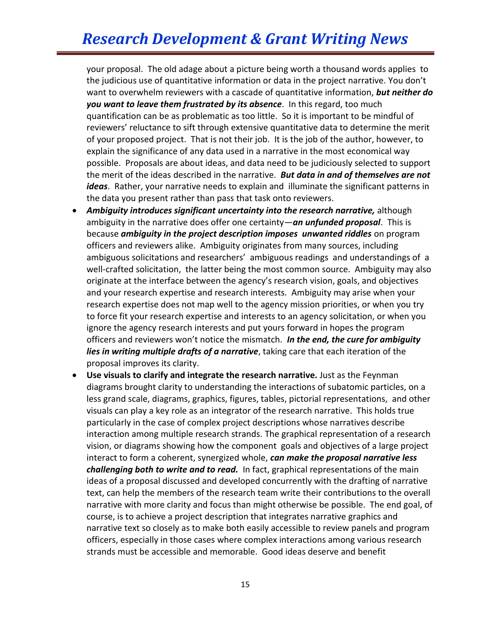your proposal. The old adage about a picture being worth a thousand words applies to the judicious use of quantitative information or data in the project narrative. You don't want to overwhelm reviewers with a cascade of quantitative information, *but neither do you want to leave them frustrated by its absence*. In this regard, too much quantification can be as problematic as too little. So it is important to be mindful of reviewers' reluctance to sift through extensive quantitative data to determine the merit of your proposed project. That is not their job. It is the job of the author, however, to explain the significance of any data used in a narrative in the most economical way possible. Proposals are about ideas, and data need to be judiciously selected to support the merit of the ideas described in the narrative. *But data in and of themselves are not ideas*. Rather, your narrative needs to explain and illuminate the significant patterns in the data you present rather than pass that task onto reviewers.

- *Ambiguity introduces significant uncertainty into the research narrative,* although ambiguity in the narrative does offer one certainty—*an unfunded proposal*. This is because *ambiguity in the project description imposes unwanted riddles* on program officers and reviewers alike. Ambiguity originates from many sources, including ambiguous solicitations and researchers' ambiguous readings and understandings of a well-crafted solicitation, the latter being the most common source. Ambiguity may also originate at the interface between the agency's research vision, goals, and objectives and your research expertise and research interests. Ambiguity may arise when your research expertise does not map well to the agency mission priorities, or when you try to force fit your research expertise and interests to an agency solicitation, or when you ignore the agency research interests and put yours forward in hopes the program officers and reviewers won't notice the mismatch. *In the end, the cure for ambiguity lies in writing multiple drafts of a narrative*, taking care that each iteration of the proposal improves its clarity.
- **Use visuals to clarify and integrate the research narrative.** Just as the Feynman diagrams brought clarity to understanding the interactions of subatomic particles, on a less grand scale, diagrams, graphics, figures, tables, pictorial representations, and other visuals can play a key role as an integrator of the research narrative. This holds true particularly in the case of complex project descriptions whose narratives describe interaction among multiple research strands. The graphical representation of a research vision, or diagrams showing how the component goals and objectives of a large project interact to form a coherent, synergized whole, *can make the proposal narrative less challenging both to write and to read.* In fact, graphical representations of the main ideas of a proposal discussed and developed concurrently with the drafting of narrative text, can help the members of the research team write their contributions to the overall narrative with more clarity and focus than might otherwise be possible. The end goal, of course, is to achieve a project description that integrates narrative graphics and narrative text so closely as to make both easily accessible to review panels and program officers, especially in those cases where complex interactions among various research strands must be accessible and memorable. Good ideas deserve and benefit